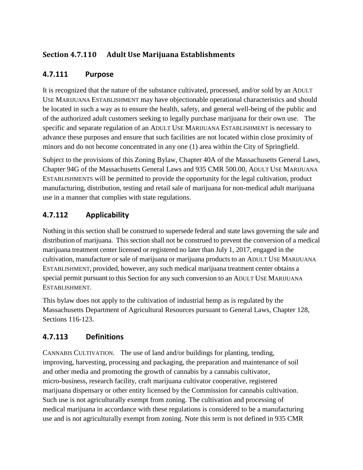# **Section 4.7.110 Adult Use Marijuana Establishments**

## **4.7.111 Purpose**

It is recognized that the nature of the substance cultivated, processed, and/or sold by an ADULT USE MARIJUANA ESTABLISHMENT may have objectionable operational characteristics and should be located in such a way as to ensure the health, safety, and general well-being of the public and of the authorized adult customers seeking to legally purchase marijuana for their own use. The specific and separate regulation of an ADULT USE MARIJUANA ESTABLISHMENT is necessary to advance these purposes and ensure that such facilities are not located within close proximity of minors and do not become concentrated in any one (1) area within the City of Springfield.

Subject to the provisions of this Zoning Bylaw, Chapter 40A of the Massachusetts General Laws, Chapter 94G of the Massachusetts General Laws and 935 CMR 500.00, ADULT USE MARIJUANA ESTABLISHMENTS will be permitted to provide the opportunity for the legal cultivation, product manufacturing, distribution, testing and retail sale of marijuana for non-medical adult marijuana use in a manner that complies with state regulations.

## **4.7.112 Applicability**

Nothing in this section shall be construed to supersede federal and state laws governing the sale and distribution of marijuana. This section shall not be construed to prevent the conversion of a medical marijuana treatment center licensed or registered no later than July 1, 2017, engaged in the cultivation, manufacture or sale of marijuana or marijuana products to an ADULT USE MARIJUANA ESTABLISHMENT, provided, however, any such medical marijuana treatment center obtains a special permit pursuant to this Section for any such conversion to an ADULT USE MARIJUANA ESTABLISHMENT.

This bylaw does not apply to the cultivation of industrial hemp as is regulated by the Massachusetts Department of Agricultural Resources pursuant to General Laws, Chapter 128, Sections 116-123.

## **4.7.113 Definitions**

CANNABIS CULTIVATION. The use of land and/or buildings for planting, tending, improving, harvesting, processing and packaging, the preparation and maintenance of soil and other media and promoting the growth of cannabis by a cannabis cultivator, micro-business, research facility, craft marijuana cultivator cooperative, registered marijuana dispensary or other entity licensed by the Commission for cannabis cultivation. Such use is not agriculturally exempt from zoning. The cultivation and processing of medical marijuana in accordance with these regulations is considered to be a manufacturing use and is not agriculturally exempt from zoning. Note this term is not defined in 935 CMR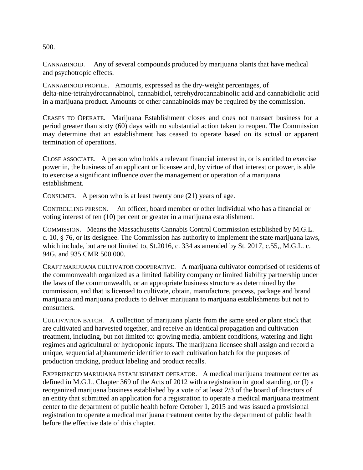500.

CANNABINOID. Any of several compounds produced by marijuana plants that have medical and psychotropic effects.

CANNABINOID PROFILE. Amounts, expressed as the dry-weight percentages, of delta-nine-tetrahydrocannabinol, cannabidiol, tetrehydrocannabinolic acid and cannabidiolic acid in a marijuana product. Amounts of other cannabinoids may be required by the commission.

CEASES TO OPERATE. Marijuana Establishment closes and does not transact business for a period greater than sixty (60) days with no substantial action taken to reopen. The Commission may determine that an establishment has ceased to operate based on its actual or apparent termination of operations.

CLOSE ASSOCIATE. A person who holds a relevant financial interest in, or is entitled to exercise power in, the business of an applicant or licensee and, by virtue of that interest or power, is able to exercise a significant influence over the management or operation of a marijuana establishment.

CONSUMER. A person who is at least twenty one (21) years of age.

CONTROLLING PERSON. An officer, board member or other individual who has a financial or voting interest of ten (10) per cent or greater in a marijuana establishment.

COMMISSION. Means the Massachusetts Cannabis Control Commission established by M.G.L. c. 10, § 76, or its designee. The Commission has authority to implement the state marijuana laws, which include, but are not limited to, St.2016, c. 334 as amended by St. 2017, c.55,, M.G.L. c. 94G, and 935 CMR 500.000.

CRAFT MARIJUANA CULTIVATOR COOPERATIVE. A marijuana cultivator comprised of residents of the commonwealth organized as a limited liability company or limited liability partnership under the laws of the commonwealth, or an appropriate business structure as determined by the commission, and that is licensed to cultivate, obtain, manufacture, process, package and brand marijuana and marijuana products to deliver marijuana to marijuana establishments but not to consumers.

CULTIVATION BATCH. A collection of marijuana plants from the same seed or plant stock that are cultivated and harvested together, and receive an identical propagation and cultivation treatment, including, but not limited to: growing media, ambient conditions, watering and light regimes and agricultural or hydroponic inputs. The marijuana licensee shall assign and record a unique, sequential alphanumeric identifier to each cultivation batch for the purposes of production tracking, product labeling and product recalls.

EXPERIENCED MARIJUANA ESTABLISHMENT OPERATOR. A medical marijuana treatment center as defined in M.G.L. Chapter 369 of the Acts of 2012 with a registration in good standing, or (I) a reorganized marijuana business established by a vote of at least 2/3 of the board of directors of an entity that submitted an application for a registration to operate a medical marijuana treatment center to the department of public health before October 1, 2015 and was issued a provisional registration to operate a medical marijuana treatment center by the department of public health before the effective date of this chapter.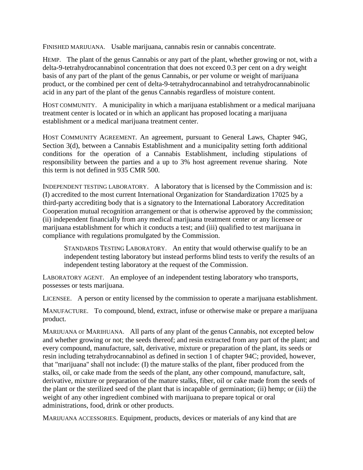FINISHED MARIJUANA. Usable marijuana, cannabis resin or cannabis concentrate.

HEMP. The plant of the genus Cannabis or any part of the plant, whether growing or not, with a delta-9-tetrahydrocannabinol concentration that does not exceed 0.3 per cent on a dry weight basis of any part of the plant of the genus Cannabis, or per volume or weight of marijuana product, or the combined per cent of delta-9-tetrahydrocannabinol and tetrahydrocannabinolic acid in any part of the plant of the genus Cannabis regardless of moisture content.

HOST COMMUNITY. A municipality in which a marijuana establishment or a medical marijuana treatment center is located or in which an applicant has proposed locating a marijuana establishment or a medical marijuana treatment center.

HOST COMMUNITY AGREEMENT. An agreement, pursuant to General Laws, Chapter 94G, Section 3(d), between a Cannabis Establishment and a municipality setting forth additional conditions for the operation of a Cannabis Establishment, including stipulations of responsibility between the parties and a up to 3% host agreement revenue sharing. Note this term is not defined in 935 CMR 500.

INDEPENDENT TESTING LABORATORY. A laboratory that is licensed by the Commission and is: (I) accredited to the most current International Organization for Standardization 17025 by a third-party accrediting body that is a signatory to the International Laboratory Accreditation Cooperation mutual recognition arrangement or that is otherwise approved by the commission; (ii) independent financially from any medical marijuana treatment center or any licensee or marijuana establishment for which it conducts a test; and (iii) qualified to test marijuana in compliance with regulations promulgated by the Commission.

STANDARDS TESTING LABORATORY. An entity that would otherwise qualify to be an independent testing laboratory but instead performs blind tests to verify the results of an independent testing laboratory at the request of the Commission.

LABORATORY AGENT. An employee of an independent testing laboratory who transports, possesses or tests marijuana.

LICENSEE. A person or entity licensed by the commission to operate a marijuana establishment.

MANUFACTURE. To compound, blend, extract, infuse or otherwise make or prepare a marijuana product.

MARIJUANA or MARIHUANA. All parts of any plant of the genus Cannabis, not excepted below and whether growing or not; the seeds thereof; and resin extracted from any part of the plant; and every compound, manufacture, salt, derivative, mixture or preparation of the plant, its seeds or resin including tetrahydrocannabinol as defined in section 1 of chapter 94C; provided, however, that "marijuana'' shall not include: (I) the mature stalks of the plant, fiber produced from the stalks, oil, or cake made from the seeds of the plant, any other compound, manufacture, salt, derivative, mixture or preparation of the mature stalks, fiber, oil or cake made from the seeds of the plant or the sterilized seed of the plant that is incapable of germination; (ii) hemp; or (iii) the weight of any other ingredient combined with marijuana to prepare topical or oral administrations, food, drink or other products.

MARIJUANA ACCESSORIES. Equipment, products, devices or materials of any kind that are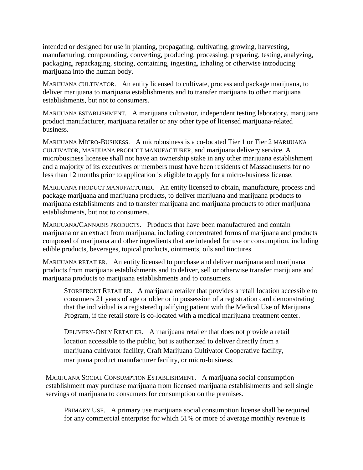intended or designed for use in planting, propagating, cultivating, growing, harvesting, manufacturing, compounding, converting, producing, processing, preparing, testing, analyzing, packaging, repackaging, storing, containing, ingesting, inhaling or otherwise introducing marijuana into the human body.

MARIJUANA CULTIVATOR. An entity licensed to cultivate, process and package marijuana, to deliver marijuana to marijuana establishments and to transfer marijuana to other marijuana establishments, but not to consumers.

MARIJUANA ESTABLISHMENT. A marijuana cultivator, independent testing laboratory, marijuana product manufacturer, marijuana retailer or any other type of licensed marijuana-related business.

MARIJUANA MICRO-BUSINESS. A microbusiness is a co-located Tier 1 or Tier 2 MARIJUANA CULTIVATOR, MARIJUANA PRODUCT MANUFACTURER, and marijuana delivery service. A microbusiness licensee shall not have an ownership stake in any other marijuana establishment and a majority of its executives or members must have been residents of Massachusetts for no less than 12 months prior to application is eligible to apply for a micro-business license.

MARIJUANA PRODUCT MANUFACTURER. An entity licensed to obtain, manufacture, process and package marijuana and marijuana products, to deliver marijuana and marijuana products to marijuana establishments and to transfer marijuana and marijuana products to other marijuana establishments, but not to consumers.

MARIJUANA/CANNABIS PRODUCTS. Products that have been manufactured and contain marijuana or an extract from marijuana, including concentrated forms of marijuana and products composed of marijuana and other ingredients that are intended for use or consumption, including edible products, beverages, topical products, ointments, oils and tinctures.

MARIJUANA RETAILER. An entity licensed to purchase and deliver marijuana and marijuana products from marijuana establishments and to deliver, sell or otherwise transfer marijuana and marijuana products to marijuana establishments and to consumers.

STOREFRONT RETAILER. A marijuana retailer that provides a retail location accessible to consumers 21 years of age or older or in possession of a registration card demonstrating that the individual is a registered qualifying patient with the Medical Use of Marijuana Program, if the retail store is co-located with a medical marijuana treatment center.

DELIVERY-ONLY RETAILER. A marijuana retailer that does not provide a retail location accessible to the public, but is authorized to deliver directly from a marijuana cultivator facility, Craft Marijuana Cultivator Cooperative facility, marijuana product manufacturer facility, or micro-business.

MARIJUANA SOCIAL CONSUMPTION ESTABLISHMENT. A marijuana social consumption establishment may purchase marijuana from licensed marijuana establishments and sell single servings of marijuana to consumers for consumption on the premises.

PRIMARY USE. A primary use marijuana social consumption license shall be required for any commercial enterprise for which 51% or more of average monthly revenue is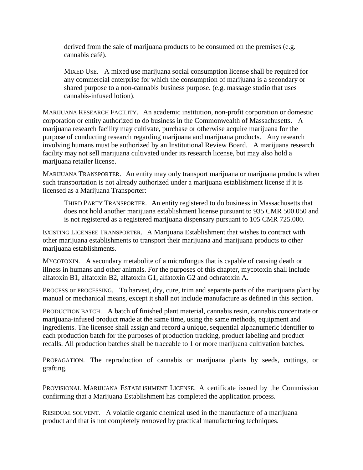derived from the sale of marijuana products to be consumed on the premises (e.g. cannabis café).

MIXED USE. A mixed use marijuana social consumption license shall be required for any commercial enterprise for which the consumption of marijuana is a secondary or shared purpose to a non-cannabis business purpose. (e.g. massage studio that uses cannabis-infused lotion).

MARIJUANA RESEARCH FACILITY. An academic institution, non-profit corporation or domestic corporation or entity authorized to do business in the Commonwealth of Massachusetts. A marijuana research facility may cultivate, purchase or otherwise acquire marijuana for the purpose of conducting research regarding marijuana and marijuana products. Any research involving humans must be authorized by an Institutional Review Board. A marijuana research facility may not sell marijuana cultivated under its research license, but may also hold a marijuana retailer license.

MARIJUANA TRANSPORTER. An entity may only transport marijuana or marijuana products when such transportation is not already authorized under a marijuana establishment license if it is licensed as a Marijuana Transporter:

THIRD PARTY TRANSPORTER. An entity registered to do business in Massachusetts that does not hold another marijuana establishment license pursuant to 935 CMR 500.050 and is not registered as a registered marijuana dispensary pursuant to 105 CMR 725.000.

EXISTING LICENSEE TRANSPORTER. A Marijuana Establishment that wishes to contract with other marijuana establishments to transport their marijuana and marijuana products to other marijuana establishments.

MYCOTOXIN. A secondary metabolite of a microfungus that is capable of causing death or illness in humans and other animals. For the purposes of this chapter, mycotoxin shall include alfatoxin B1, alfatoxin B2, alfatoxin G1, alfatoxin G2 and ochratoxin A.

PROCESS or PROCESSING. To harvest, dry, cure, trim and separate parts of the marijuana plant by manual or mechanical means, except it shall not include manufacture as defined in this section.

PRODUCTION BATCH. A batch of finished plant material, cannabis resin, cannabis concentrate or marijuana-infused product made at the same time, using the same methods, equipment and ingredients. The licensee shall assign and record a unique, sequential alphanumeric identifier to each production batch for the purposes of production tracking, product labeling and product recalls. All production batches shall be traceable to 1 or more marijuana cultivation batches.

PROPAGATION. The reproduction of cannabis or marijuana plants by seeds, cuttings, or grafting.

PROVISIONAL MARIJUANA ESTABLISHMENT LICENSE. A certificate issued by the Commission confirming that a Marijuana Establishment has completed the application process.

RESIDUAL SOLVENT. A volatile organic chemical used in the manufacture of a marijuana product and that is not completely removed by practical manufacturing techniques.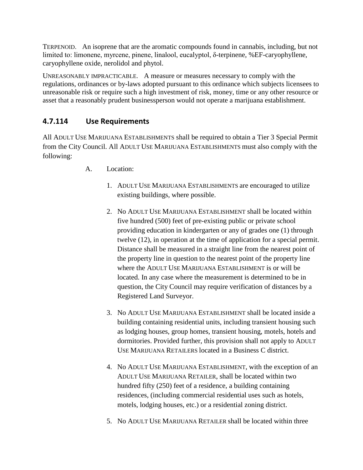TERPENOID. An isoprene that are the aromatic compounds found in cannabis, including, but not limited to: limonene, myrcene, pinene, linalool, eucalyptol, δ-terpinene, %EF-caryophyllene, caryophyllene oxide, nerolidol and phytol.

UNREASONABLY IMPRACTICABLE. A measure or measures necessary to comply with the regulations, ordinances or by-laws adopted pursuant to this ordinance which subjects licensees to unreasonable risk or require such a high investment of risk, money, time or any other resource or asset that a reasonably prudent businessperson would not operate a marijuana establishment.

# **4.7.114 Use Requirements**

All ADULT USE MARIJUANA ESTABLISHMENTS shall be required to obtain a Tier 3 Special Permit from the City Council. All ADULT USE MARIJUANA ESTABLISHMENTS must also comply with the following:

- A. Location:
	- 1. ADULT USE MARIJUANA ESTABLISHMENTS are encouraged to utilize existing buildings, where possible.
	- 2. No ADULT USE MARIJUANA ESTABLISHMENT shall be located within five hundred (500) feet of pre-existing public or private school providing education in kindergarten or any of grades one (1) through twelve (12), in operation at the time of application for a special permit. Distance shall be measured in a straight line from the nearest point of the property line in question to the nearest point of the property line where the ADULT USE MARIJUANA ESTABLISHMENT is or will be located. In any case where the measurement is determined to be in question, the City Council may require verification of distances by a Registered Land Surveyor.
	- 3. No ADULT USE MARIJUANA ESTABLISHMENT shall be located inside a building containing residential units, including transient housing such as lodging houses, group homes, transient housing, motels, hotels and dormitories. Provided further, this provision shall not apply to ADULT USE MARIJUANA RETAILERS located in a Business C district.
	- 4. No ADULT USE MARIJUANA ESTABLISHMENT, with the exception of an ADULT USE MARIJUANA RETAILER, shall be located within two hundred fifty (250) feet of a residence, a building containing residences, (including commercial residential uses such as hotels, motels, lodging houses, etc.) or a residential zoning district.
	- 5. No ADULT USE MARIJUANA RETAILER shall be located within three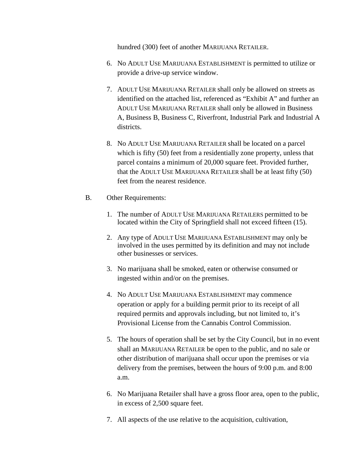hundred (300) feet of another MARIJUANA RETAILER.

- 6. No ADULT USE MARIJUANA ESTABLISHMENT is permitted to utilize or provide a drive-up service window.
- 7. ADULT USE MARIJUANA RETAILER shall only be allowed on streets as identified on the attached list, referenced as "Exhibit A" and further an ADULT USE MARIJUANA RETAILER shall only be allowed in Business A, Business B, Business C, Riverfront, Industrial Park and Industrial A districts.
- 8. No ADULT USE MARIJUANA RETAILER shall be located on a parcel which is fifty (50) feet from a residentially zone property, unless that parcel contains a minimum of 20,000 square feet. Provided further, that the ADULT USE MARIJUANA RETAILER shall be at least fifty (50) feet from the nearest residence.
- B. Other Requirements:
	- 1. The number of ADULT USE MARIJUANA RETAILERS permitted to be located within the City of Springfield shall not exceed fifteen (15).
	- 2. Any type of ADULT USE MARIJUANA ESTABLISHMENT may only be involved in the uses permitted by its definition and may not include other businesses or services.
	- 3. No marijuana shall be smoked, eaten or otherwise consumed or ingested within and/or on the premises.
	- 4. No ADULT USE MARIJUANA ESTABLISHMENT may commence operation or apply for a building permit prior to its receipt of all required permits and approvals including, but not limited to, it's Provisional License from the Cannabis Control Commission.
	- 5. The hours of operation shall be set by the City Council, but in no event shall an MARIJUANA RETAILER be open to the public, and no sale or other distribution of marijuana shall occur upon the premises or via delivery from the premises, between the hours of 9:00 p.m. and 8:00 a.m.
	- 6. No Marijuana Retailer shall have a gross floor area, open to the public, in excess of 2,500 square feet.
	- 7. All aspects of the use relative to the acquisition, cultivation,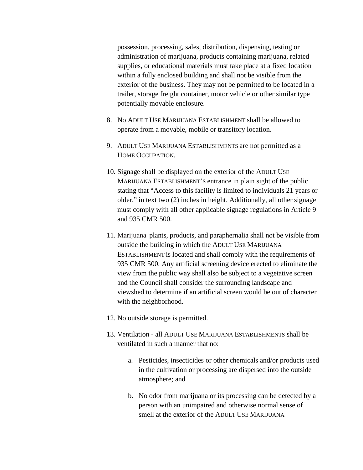possession, processing, sales, distribution, dispensing, testing or administration of marijuana, products containing marijuana, related supplies, or educational materials must take place at a fixed location within a fully enclosed building and shall not be visible from the exterior of the business. They may not be permitted to be located in a trailer, storage freight container, motor vehicle or other similar type potentially movable enclosure.

- 8. No ADULT USE MARIJUANA ESTABLISHMENT shall be allowed to operate from a movable, mobile or transitory location.
- 9. ADULT USE MARIJUANA ESTABLISHMENTS are not permitted as a HOME OCCUPATION.
- 10. Signage shall be displayed on the exterior of the ADULT USE MARIJUANA ESTABLISHMENT'S entrance in plain sight of the public stating that "Access to this facility is limited to individuals 21 years or older." in text two (2) inches in height. Additionally, all other signage must comply with all other applicable signage regulations in Article 9 and 935 CMR 500.
- 11. Marijuana plants, products, and paraphernalia shall not be visible from outside the building in which the ADULT USE MARIJUANA ESTABLISHMENT is located and shall comply with the requirements of 935 CMR 500. Any artificial screening device erected to eliminate the view from the public way shall also be subject to a vegetative screen and the Council shall consider the surrounding landscape and viewshed to determine if an artificial screen would be out of character with the neighborhood.
- 12. No outside storage is permitted.
- 13. Ventilation all ADULT USE MARIJUANA ESTABLISHMENTS shall be ventilated in such a manner that no:
	- a. Pesticides, insecticides or other chemicals and/or products used in the cultivation or processing are dispersed into the outside atmosphere; and
	- b. No odor from marijuana or its processing can be detected by a person with an unimpaired and otherwise normal sense of smell at the exterior of the ADULT USE MARIJUANA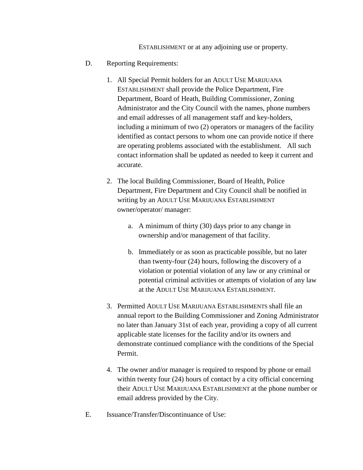ESTABLISHMENT or at any adjoining use or property.

- D. Reporting Requirements:
	- 1. All Special Permit holders for an ADULT USE MARIJUANA ESTABLISHMENT shall provide the Police Department, Fire Department, Board of Heath, Building Commissioner, Zoning Administrator and the City Council with the names, phone numbers and email addresses of all management staff and key-holders, including a minimum of two (2) operators or managers of the facility identified as contact persons to whom one can provide notice if there are operating problems associated with the establishment. All such contact information shall be updated as needed to keep it current and accurate.
	- 2. The local Building Commissioner, Board of Health, Police Department, Fire Department and City Council shall be notified in writing by an ADULT USE MARIJUANA ESTABLISHMENT owner/operator/ manager:
		- a. A minimum of thirty (30) days prior to any change in ownership and/or management of that facility.
		- b. Immediately or as soon as practicable possible, but no later than twenty-four (24) hours, following the discovery of a violation or potential violation of any law or any criminal or potential criminal activities or attempts of violation of any law at the ADULT USE MARIJUANA ESTABLISHMENT.
	- 3. Permitted ADULT USE MARIJUANA ESTABLISHMENTS shall file an annual report to the Building Commissioner and Zoning Administrator no later than January 31st of each year, providing a copy of all current applicable state licenses for the facility and/or its owners and demonstrate continued compliance with the conditions of the Special Permit.
	- 4. The owner and/or manager is required to respond by phone or email within twenty four (24) hours of contact by a city official concerning their ADULT USE MARIJUANA ESTABLISHMENT at the phone number or email address provided by the City.
- E. Issuance/Transfer/Discontinuance of Use: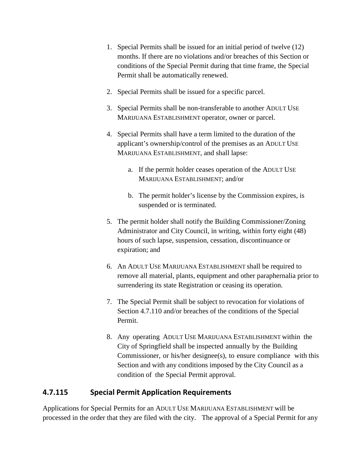- 1. Special Permits shall be issued for an initial period of twelve (12) months. If there are no violations and/or breaches of this Section or conditions of the Special Permit during that time frame, the Special Permit shall be automatically renewed.
- 2. Special Permits shall be issued for a specific parcel.
- 3. Special Permits shall be non-transferable to another ADULT USE MARIJUANA ESTABLISHMENT operator, owner or parcel.
- 4. Special Permits shall have a term limited to the duration of the applicant's ownership/control of the premises as an ADULT USE MARIJUANA ESTABLISHMENT, and shall lapse:
	- a. If the permit holder ceases operation of the ADULT USE MARIJUANA ESTABLISHMENT; and/or
	- b. The permit holder's license by the Commission expires, is suspended or is terminated.
- 5. The permit holder shall notify the Building Commissioner/Zoning Administrator and City Council, in writing, within forty eight (48) hours of such lapse, suspension, cessation, discontinuance or expiration; and
- 6. An ADULT USE MARIJUANA ESTABLISHMENT shall be required to remove all material, plants, equipment and other paraphernalia prior to surrendering its state Registration or ceasing its operation.
- 7. The Special Permit shall be subject to revocation for violations of Section 4.7.110 and/or breaches of the conditions of the Special Permit.
- 8. Any operating ADULT USE MARIJUANA ESTABLISHMENT within the City of Springfield shall be inspected annually by the Building Commissioner, or his/her designee(s), to ensure compliance with this Section and with any conditions imposed by the City Council as a condition of the Special Permit approval.

## **4.7.115 Special Permit Application Requirements**

Applications for Special Permits for an ADULT USE MARIJUANA ESTABLISHMENT will be processed in the order that they are filed with the city. The approval of a Special Permit for any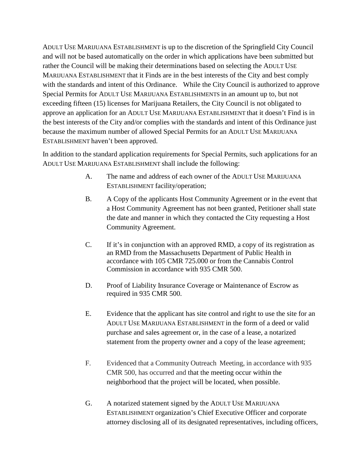ADULT USE MARIJUANA ESTABLISHMENT is up to the discretion of the Springfield City Council and will not be based automatically on the order in which applications have been submitted but rather the Council will be making their determinations based on selecting the ADULT USE MARIJUANA ESTABLISHMENT that it Finds are in the best interests of the City and best comply with the standards and intent of this Ordinance. While the City Council is authorized to approve Special Permits for ADULT USE MARIJUANA ESTABLISHMENTS in an amount up to, but not exceeding fifteen (15) licenses for Marijuana Retailers, the City Council is not obligated to approve an application for an ADULT USE MARIJUANA ESTABLISHMENT that it doesn't Find is in the best interests of the City and/or complies with the standards and intent of this Ordinance just because the maximum number of allowed Special Permits for an ADULT USE MARIJUANA ESTABLISHMENT haven't been approved.

In addition to the standard application requirements for Special Permits, such applications for an ADULT USE MARIJUANA ESTABLISHMENT shall include the following:

- A. The name and address of each owner of the ADULT USE MARIJUANA ESTABLISHMENT facility/operation;
- B. A Copy of the applicants Host Community Agreement or in the event that a Host Community Agreement has not been granted, Petitioner shall state the date and manner in which they contacted the City requesting a Host Community Agreement.
- C. If it's in conjunction with an approved RMD, a copy of its registration as an RMD from the Massachusetts Department of Public Health in accordance with 105 CMR 725.000 or from the Cannabis Control Commission in accordance with 935 CMR 500.
- D. Proof of Liability Insurance Coverage or Maintenance of Escrow as required in 935 CMR 500.
- E. Evidence that the applicant has site control and right to use the site for an ADULT USE MARIJUANA ESTABLISHMENT in the form of a deed or valid purchase and sales agreement or, in the case of a lease, a notarized statement from the property owner and a copy of the lease agreement;
- F. Evidenced that a Community Outreach Meeting, in accordance with 935 CMR 500, has occurred and that the meeting occur within the neighborhood that the project will be located, when possible.
- G. A notarized statement signed by the ADULT USE MARIJUANA ESTABLISHMENT organization's Chief Executive Officer and corporate attorney disclosing all of its designated representatives, including officers,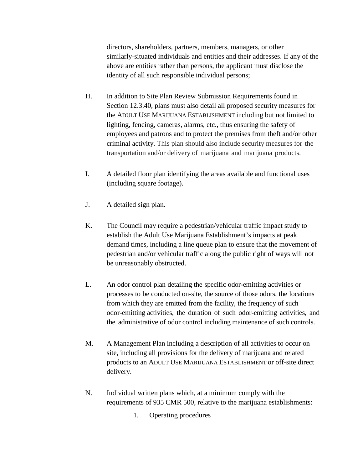directors, shareholders, partners, members, managers, or other similarly-situated individuals and entities and their addresses. If any of the above are entities rather than persons, the applicant must disclose the identity of all such responsible individual persons;

- H. In addition to Site Plan Review Submission Requirements found in Section 12.3.40, plans must also detail all proposed security measures for the ADULT USE MARIJUANA ESTABLISHMENT including but not limited to lighting, fencing, cameras, alarms, etc., thus ensuring the safety of employees and patrons and to protect the premises from theft and/or other criminal activity. This plan should also include security measures for the transportation and/or delivery of marijuana and marijuana products.
- I. A detailed floor plan identifying the areas available and functional uses (including square footage).
- J. A detailed sign plan.
- K. The Council may require a pedestrian/vehicular traffic impact study to establish the Adult Use Marijuana Establishment's impacts at peak demand times, including a line queue plan to ensure that the movement of pedestrian and/or vehicular traffic along the public right of ways will not be unreasonably obstructed.
- L. An odor control plan detailing the specific odor-emitting activities or processes to be conducted on-site, the source of those odors, the locations from which they are emitted from the facility, the frequency of such odor-emitting activities, the duration of such odor-emitting activities, and the administrative of odor control including maintenance of such controls.
- M. A Management Plan including a description of all activities to occur on site, including all provisions for the delivery of marijuana and related products to an ADULT USE MARIJUANA ESTABLISHMENT or off-site direct delivery.
- N. Individual written plans which, at a minimum comply with the requirements of 935 CMR 500, relative to the marijuana establishments:
	- 1. Operating procedures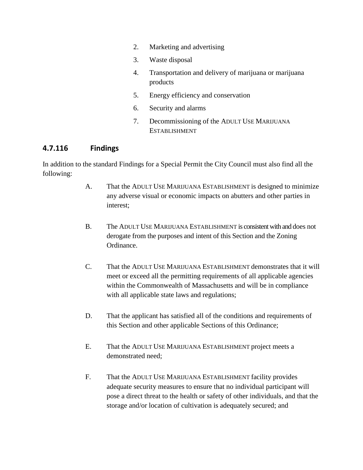- 2. Marketing and advertising
- 3. Waste disposal
- 4. Transportation and delivery of marijuana or marijuana products
- 5. Energy efficiency and conservation
- 6. Security and alarms
- 7. Decommissioning of the ADULT USE MARIJUANA **ESTABLISHMENT**

#### **4.7.116 Findings**

In addition to the standard Findings for a Special Permit the City Council must also find all the following:

- A. That the ADULT USE MARIJUANA ESTABLISHMENT is designed to minimize any adverse visual or economic impacts on abutters and other parties in interest;
- B. The ADULT USE MARIJUANA ESTABLISHMENT is consistent with and does not derogate from the purposes and intent of this Section and the Zoning Ordinance.
- C. That the ADULT USE MARIJUANA ESTABLISHMENT demonstrates that it will meet or exceed all the permitting requirements of all applicable agencies within the Commonwealth of Massachusetts and will be in compliance with all applicable state laws and regulations;
- D. That the applicant has satisfied all of the conditions and requirements of this Section and other applicable Sections of this Ordinance;
- E. That the ADULT USE MARIJUANA ESTABLISHMENT project meets a demonstrated need;
- F. That the ADULT USE MARIJUANA ESTABLISHMENT facility provides adequate security measures to ensure that no individual participant will pose a direct threat to the health or safety of other individuals, and that the storage and/or location of cultivation is adequately secured; and